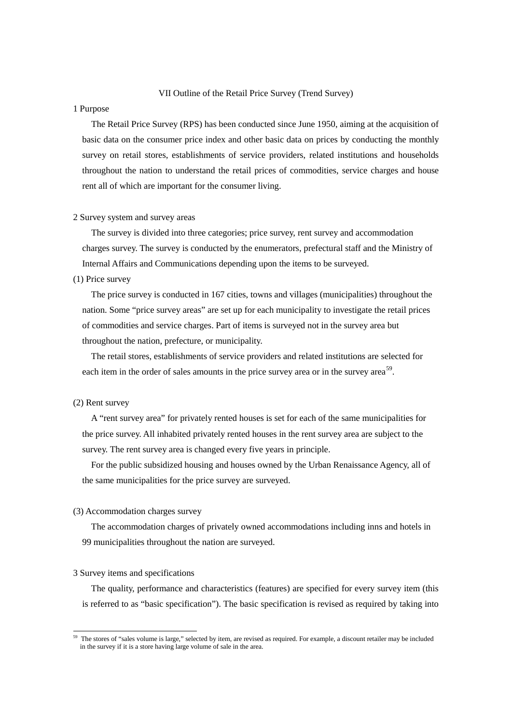## VII Outline of the Retail Price Survey (Trend Survey)

### 1 Purpose

The Retail Price Survey (RPS) has been conducted since June 1950, aiming at the acquisition of basic data on the consumer price index and other basic data on prices by conducting the monthly survey on retail stores, establishments of service providers, related institutions and households throughout the nation to understand the retail prices of commodities, service charges and house rent all of which are important for the consumer living.

#### 2 Survey system and survey areas

The survey is divided into three categories; price survey, rent survey and accommodation charges survey. The survey is conducted by the enumerators, prefectural staff and the Ministry of Internal Affairs and Communications depending upon the items to be surveyed.

## (1) Price survey

The price survey is conducted in 167 cities, towns and villages (municipalities) throughout the nation. Some "price survey areas" are set up for each municipality to investigate the retail prices of commodities and service charges. Part of items is surveyed not in the survey area but throughout the nation, prefecture, or municipality.

The retail stores, establishments of service providers and related institutions are selected for each item in the order of sales amounts in the price survey area or in the survey area<sup>[59](#page-0-0)</sup>.

# (2) Rent survey

A "rent survey area" for privately rented houses is set for each of the same municipalities for the price survey. All inhabited privately rented houses in the rent survey area are subject to the survey. The rent survey area is changed every five years in principle.

For the public subsidized housing and houses owned by the Urban Renaissance Agency, all of the same municipalities for the price survey are surveyed.

## (3) Accommodation charges survey

The accommodation charges of privately owned accommodations including inns and hotels in 99 municipalities throughout the nation are surveyed.

# 3 Survey items and specifications

The quality, performance and characteristics (features) are specified for every survey item (this is referred to as "basic specification"). The basic specification is revised as required by taking into

<span id="page-0-0"></span><sup>59</sup> The stores of "sales volume is large," selected by item, are revised as required. For example, a discount retailer may be included in the survey if it is a store having large volume of sale in the area.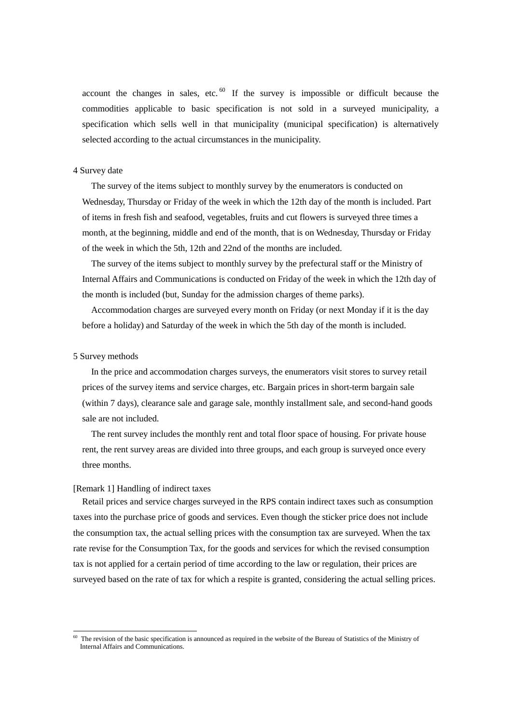account the changes in sales, etc.  $60$  If the survey is impossible or difficult because the commodities applicable to basic specification is not sold in a surveyed municipality, a specification which sells well in that municipality (municipal specification) is alternatively selected according to the actual circumstances in the municipality.

## 4 Survey date

The survey of the items subject to monthly survey by the enumerators is conducted on Wednesday, Thursday or Friday of the week in which the 12th day of the month is included. Part of items in fresh fish and seafood, vegetables, fruits and cut flowers is surveyed three times a month, at the beginning, middle and end of the month, that is on Wednesday, Thursday or Friday of the week in which the 5th, 12th and 22nd of the months are included.

The survey of the items subject to monthly survey by the prefectural staff or the Ministry of Internal Affairs and Communications is conducted on Friday of the week in which the 12th day of the month is included (but, Sunday for the admission charges of theme parks).

Accommodation charges are surveyed every month on Friday (or next Monday if it is the day before a holiday) and Saturday of the week in which the 5th day of the month is included.

### 5 Survey methods

In the price and accommodation charges surveys, the enumerators visit stores to survey retail prices of the survey items and service charges, etc. Bargain prices in short-term bargain sale (within 7 days), clearance sale and garage sale, monthly installment sale, and second-hand goods sale are not included.

The rent survey includes the monthly rent and total floor space of housing. For private house rent, the rent survey areas are divided into three groups, and each group is surveyed once every three months.

### [Remark 1] Handling of indirect taxes

Retail prices and service charges surveyed in the RPS contain indirect taxes such as consumption taxes into the purchase price of goods and services. Even though the sticker price does not include the consumption tax, the actual selling prices with the consumption tax are surveyed. When the tax rate revise for the Consumption Tax, for the goods and services for which the revised consumption tax is not applied for a certain period of time according to the law or regulation, their prices are surveyed based on the rate of tax for which a respite is granted, considering the actual selling prices.

<span id="page-1-0"></span><sup>&</sup>lt;sup>60</sup> The revision of the basic specification is announced as required in the website of the Bureau of Statistics of the Ministry of Internal Affairs and Communications.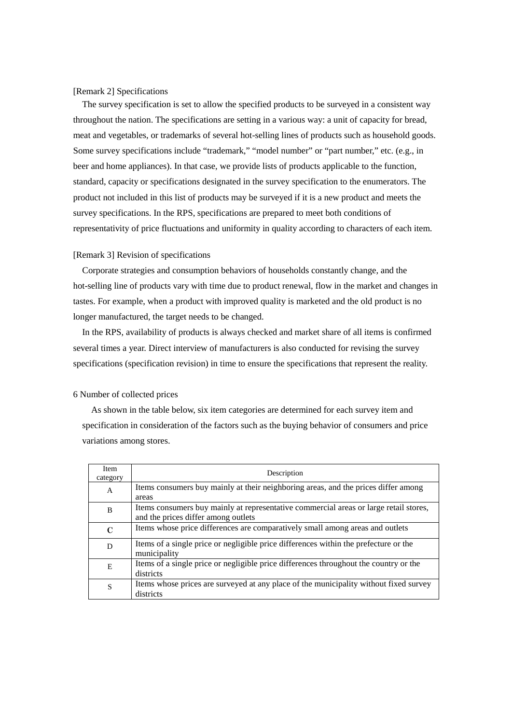[Remark 2] Specifications

The survey specification is set to allow the specified products to be surveyed in a consistent way throughout the nation. The specifications are setting in a various way: a unit of capacity for bread, meat and vegetables, or trademarks of several hot-selling lines of products such as household goods. Some survey specifications include "trademark," "model number" or "part number," etc. (e.g., in beer and home appliances). In that case, we provide lists of products applicable to the function, standard, capacity or specifications designated in the survey specification to the enumerators. The product not included in this list of products may be surveyed if it is a new product and meets the survey specifications. In the RPS, specifications are prepared to meet both conditions of representativity of price fluctuations and uniformity in quality according to characters of each item.

## [Remark 3] Revision of specifications

Corporate strategies and consumption behaviors of households constantly change, and the hot-selling line of products vary with time due to product renewal, flow in the market and changes in tastes. For example, when a product with improved quality is marketed and the old product is no longer manufactured, the target needs to be changed.

In the RPS, availability of products is always checked and market share of all items is confirmed several times a year. Direct interview of manufacturers is also conducted for revising the survey specifications (specification revision) in time to ensure the specifications that represent the reality.

### 6 Number of collected prices

As shown in the table below, six item categories are determined for each survey item and specification in consideration of the factors such as the buying behavior of consumers and price variations among stores.

| Item<br>category | Description                                                                                                                  |
|------------------|------------------------------------------------------------------------------------------------------------------------------|
| A                | Items consumers buy mainly at their neighboring areas, and the prices differ among<br>areas                                  |
| B                | Items consumers buy mainly at representative commercial areas or large retail stores,<br>and the prices differ among outlets |
| $\mathbf C$      | Items whose price differences are comparatively small among areas and outlets                                                |
| D                | Items of a single price or negligible price differences within the prefecture or the<br>municipality                         |
| E                | Items of a single price or negligible price differences throughout the country or the<br>districts                           |
| S                | Items whose prices are surveyed at any place of the municipality without fixed survey<br>districts                           |